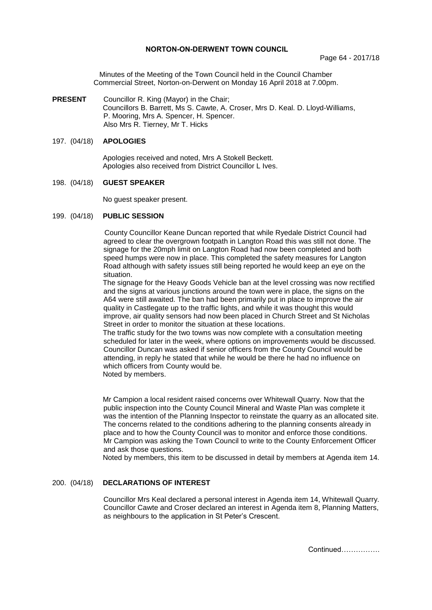#### **NORTON-ON-DERWENT TOWN COUNCIL**

Minutes of the Meeting of the Town Council held in the Council Chamber Commercial Street, Norton-on-Derwent on Monday 16 April 2018 at 7.00pm.

**PRESENT** Councillor R. King (Mayor) in the Chair; Councillors B. Barrett, Ms S. Cawte, A. Croser, Mrs D. Keal. D. Lloyd-Williams, P. Mooring, Mrs A. Spencer, H. Spencer. Also Mrs R. Tierney, Mr T. Hicks

### 197. (04/18) **APOLOGIES**

 Apologies received and noted, Mrs A Stokell Beckett. Apologies also received from District Councillor L Ives.

#### 198. (04/18) **GUEST SPEAKER**

No guest speaker present.

#### 199. (04/18) **PUBLIC SESSION**

County Councillor Keane Duncan reported that while Ryedale District Council had agreed to clear the overgrown footpath in Langton Road this was still not done. The signage for the 20mph limit on Langton Road had now been completed and both speed humps were now in place. This completed the safety measures for Langton Road although with safety issues still being reported he would keep an eye on the situation.

The signage for the Heavy Goods Vehicle ban at the level crossing was now rectified and the signs at various junctions around the town were in place, the signs on the A64 were still awaited. The ban had been primarily put in place to improve the air quality in Castlegate up to the traffic lights, and while it was thought this would improve, air quality sensors had now been placed in Church Street and St Nicholas Street in order to monitor the situation at these locations.

The traffic study for the two towns was now complete with a consultation meeting scheduled for later in the week, where options on improvements would be discussed. Councillor Duncan was asked if senior officers from the County Council would be attending, in reply he stated that while he would be there he had no influence on which officers from County would be.

Noted by members.

Mr Campion a local resident raised concerns over Whitewall Quarry. Now that the public inspection into the County Council Mineral and Waste Plan was complete it was the intention of the Planning Inspector to reinstate the quarry as an allocated site. The concerns related to the conditions adhering to the planning consents already in place and to how the County Council was to monitor and enforce those conditions. Mr Campion was asking the Town Council to write to the County Enforcement Officer and ask those questions.

Noted by members, this item to be discussed in detail by members at Agenda item 14.

## 200. (04/18) **DECLARATIONS OF INTEREST**

Councillor Mrs Keal declared a personal interest in Agenda item 14, Whitewall Quarry. Councillor Cawte and Croser declared an interest in Agenda item 8, Planning Matters, as neighbours to the application in St Peter's Crescent.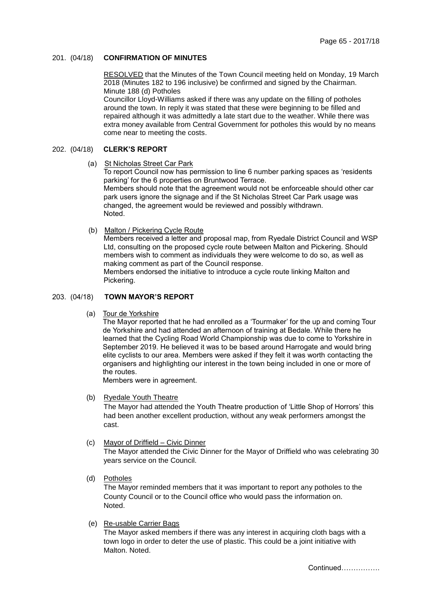#### 201. (04/18) **CONFIRMATION OF MINUTES**

RESOLVED that the Minutes of the Town Council meeting held on Monday, 19 March 2018 (Minutes 182 to 196 inclusive) be confirmed and signed by the Chairman. Minute 188 (d) Potholes

 Councillor Lloyd-Williams asked if there was any update on the filling of potholes around the town. In reply it was stated that these were beginning to be filled and repaired although it was admittedly a late start due to the weather. While there was extra money available from Central Government for potholes this would by no means come near to meeting the costs.

## 202. (04/18) **CLERK'S REPORT**

#### (a) St Nicholas Street Car Park

To report Council now has permission to line 6 number parking spaces as 'residents parking' for the 6 properties on Bruntwood Terrace. Members should note that the agreement would not be enforceable should other car park users ignore the signage and if the St Nicholas Street Car Park usage was changed, the agreement would be reviewed and possibly withdrawn. Noted.

(b) Malton / Pickering Cycle Route

Members received a letter and proposal map, from Ryedale District Council and WSP Ltd, consulting on the proposed cycle route between Malton and Pickering. Should members wish to comment as individuals they were welcome to do so, as well as making comment as part of the Council response.

Members endorsed the initiative to introduce a cycle route linking Malton and Pickering.

## 203. (04/18) **TOWN MAYOR'S REPORT**

(a) Tour de Yorkshire

The Mayor reported that he had enrolled as a 'Tourmaker' for the up and coming Tour de Yorkshire and had attended an afternoon of training at Bedale. While there he learned that the Cycling Road World Championship was due to come to Yorkshire in September 2019. He believed it was to be based around Harrogate and would bring elite cyclists to our area. Members were asked if they felt it was worth contacting the organisers and highlighting our interest in the town being included in one or more of the routes.

Members were in agreement.

#### (b) Ryedale Youth Theatre

The Mayor had attended the Youth Theatre production of 'Little Shop of Horrors' this had been another excellent production, without any weak performers amongst the cast.

#### (c) Mayor of Driffield – Civic Dinner

The Mayor attended the Civic Dinner for the Mayor of Driffield who was celebrating 30 years service on the Council.

(d) Potholes

The Mayor reminded members that it was important to report any potholes to the County Council or to the Council office who would pass the information on. Noted.

(e) Re-usable Carrier Bags

The Mayor asked members if there was any interest in acquiring cloth bags with a town logo in order to deter the use of plastic. This could be a joint initiative with Malton. Noted.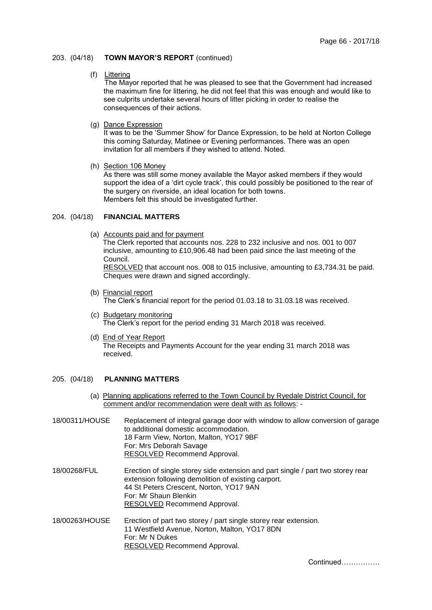### 203. (04/18) **TOWN MAYOR'S REPORT** (continued)

### (f) Littering

The Mayor reported that he was pleased to see that the Government had increased the maximum fine for littering, he did not feel that this was enough and would like to see culprits undertake several hours of litter picking in order to realise the consequences of their actions.

# (g) Dance Expression

It was to be the 'Summer Show' for Dance Expression, to be held at Norton College this coming Saturday, Matinee or Evening performances. There was an open invitation for all members if they wished to attend. Noted.

## (h) Section 106 Money

As there was still some money available the Mayor asked members if they would support the idea of a 'dirt cycle track', this could possibly be positioned to the rear of the surgery on riverside, an ideal location for both towns. Members felt this should be investigated further.

#### 204. (04/18) **FINANCIAL MATTERS**

(a) Accounts paid and for payment

Cheques were drawn and signed accordingly.

The Clerk reported that accounts nos. 228 to 232 inclusive and nos. 001 to 007 inclusive, amounting to £10,906.48 had been paid since the last meeting of the Council. RESOLVED that account nos. 008 to 015 inclusive, amounting to £3,734.31 be paid.

(b) Financial report

The Clerk's financial report for the period 01.03.18 to 31.03.18 was received.

- (c) Budgetary monitoring The Clerk's report for the period ending 31 March 2018 was received.
- (d) End of Year Report The Receipts and Payments Account for the year ending 31 march 2018 was received.

## 205. (04/18) **PLANNING MATTERS**

(a) Planning applications referred to the Town Council by Ryedale District Council, for comment and/or recommendation were dealt with as follows: -

| 18/00311/HOUSE | Replacement of integral garage door with window to allow conversion of garage<br>to additional domestic accommodation.<br>18 Farm View, Norton, Malton, YO17 9BF<br>For: Mrs Deborah Savage<br>RESOLVED Recommend Approval.                |
|----------------|--------------------------------------------------------------------------------------------------------------------------------------------------------------------------------------------------------------------------------------------|
| 18/00268/FUL   | Erection of single storey side extension and part single / part two storey rear<br>extension following demolition of existing carport.<br>44 St Peters Crescent, Norton, YO17 9AN<br>For: Mr Shaun Blenkin<br>RESOLVED Recommend Approval. |
| 18/00263/HOUSE | Erection of part two storey / part single storey rear extension.<br>11 Westfield Avenue, Norton, Malton, YO17 8DN<br>For: Mr N Dukes<br>RESOLVED Recommend Approval.                                                                       |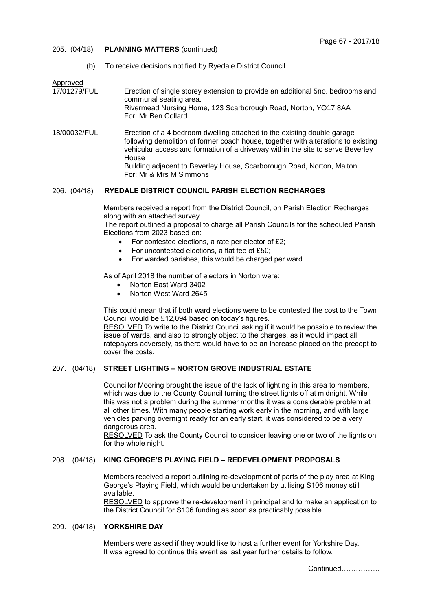### 205. (04/18) **PLANNING MATTERS** (continued)

## (b) To receive decisions notified by Ryedale District Council.

Approved<br>17/01279/FUL

- Erection of single storey extension to provide an additional 5no. bedrooms and communal seating area. Rivermead Nursing Home, 123 Scarborough Road, Norton, YO17 8AA For: Mr Ben Collard
- 18/00032/FUL Erection of a 4 bedroom dwelling attached to the existing double garage following demolition of former coach house, together with alterations to existing vehicular access and formation of a driveway within the site to serve Beverley House Building adjacent to Beverley House, Scarborough Road, Norton, Malton For: Mr & Mrs M Simmons

## 206. (04/18) **RYEDALE DISTRICT COUNCIL PARISH ELECTION RECHARGES**

Members received a report from the District Council, on Parish Election Recharges along with an attached survey

The report outlined a proposal to charge all Parish Councils for the scheduled Parish Elections from 2023 based on:

- For contested elections, a rate per elector of £2;
- For uncontested elections, a flat fee of £50;
- For warded parishes, this would be charged per ward.

As of April 2018 the number of electors in Norton were:

- Norton East Ward 3402
- Norton West Ward 2645

This could mean that if both ward elections were to be contested the cost to the Town Council would be £12,094 based on today's figures.

RESOLVED To write to the District Council asking if it would be possible to review the issue of wards, and also to strongly object to the charges, as it would impact all ratepayers adversely, as there would have to be an increase placed on the precept to cover the costs.

## 207. (04/18) **STREET LIGHTING – NORTON GROVE INDUSTRIAL ESTATE**

Councillor Mooring brought the issue of the lack of lighting in this area to members, which was due to the County Council turning the street lights off at midnight. While this was not a problem during the summer months it was a considerable problem at all other times. With many people starting work early in the morning, and with large vehicles parking overnight ready for an early start, it was considered to be a very dangerous area.

RESOLVED To ask the County Council to consider leaving one or two of the lights on for the whole night.

# 208. (04/18) **KING GEORGE'S PLAYING FIELD – REDEVELOPMENT PROPOSALS**

Members received a report outlining re-development of parts of the play area at King George's Playing Field, which would be undertaken by utilising S106 money still available.

RESOLVED to approve the re-development in principal and to make an application to the District Council for S106 funding as soon as practicably possible.

## 209. (04/18) **YORKSHIRE DAY**

Members were asked if they would like to host a further event for Yorkshire Day. It was agreed to continue this event as last year further details to follow.